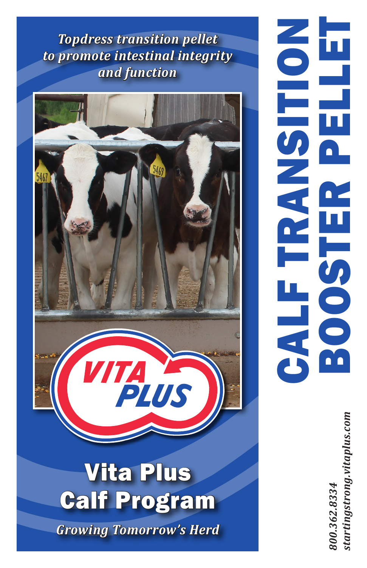*Topdress transition pellet to promote intestinal integrity and function*



## Vita Plus Calf Program

*Growing Tomorrow's Herd*

CALF TRANSITION BOOSTER PELLET **OLISHE BOOS CALF** 

> *800.362.8334 startingstrong.vitaplus.com*startingstrong.vitaplus.com 300.362.8334